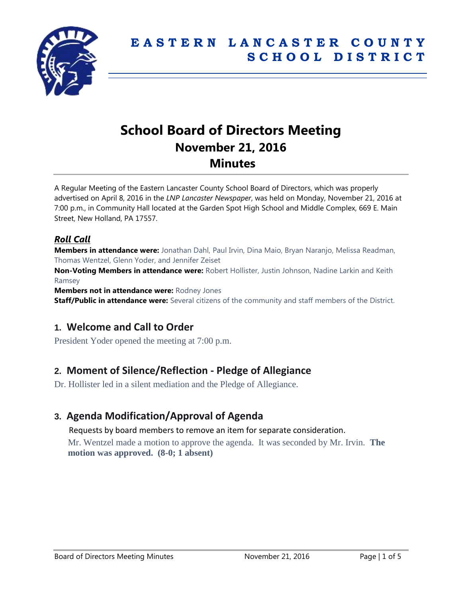

# **School Board of Directors Meeting November 21, 2016 Minutes**

A Regular Meeting of the Eastern Lancaster County School Board of Directors, which was properly advertised on April 8, 2016 in the *LNP Lancaster Newspaper*, was held on Monday, November 21, 2016 at 7:00 p.m., in Community Hall located at the Garden Spot High School and Middle Complex, 669 E. Main Street, New Holland, PA 17557.

## *Roll Call*

**Members in attendance were:** Jonathan Dahl, Paul Irvin, Dina Maio, Bryan Naranjo, Melissa Readman, Thomas Wentzel, Glenn Yoder, and Jennifer Zeiset

**Non-Voting Members in attendance were:** Robert Hollister, Justin Johnson, Nadine Larkin and Keith Ramsey

**Members not in attendance were:** Rodney Jones

**Staff/Public in attendance were:** Several citizens of the community and staff members of the District.

# **1. Welcome and Call to Order**

President Yoder opened the meeting at 7:00 p.m.

# **2. Moment of Silence/Reflection - Pledge of Allegiance**

Dr. Hollister led in a silent mediation and the Pledge of Allegiance.

# **3. Agenda Modification/Approval of Agenda**

Requests by board members to remove an item for separate consideration.

Mr. Wentzel made a motion to approve the agenda. It was seconded by Mr. Irvin. **The motion was approved. (8-0; 1 absent)**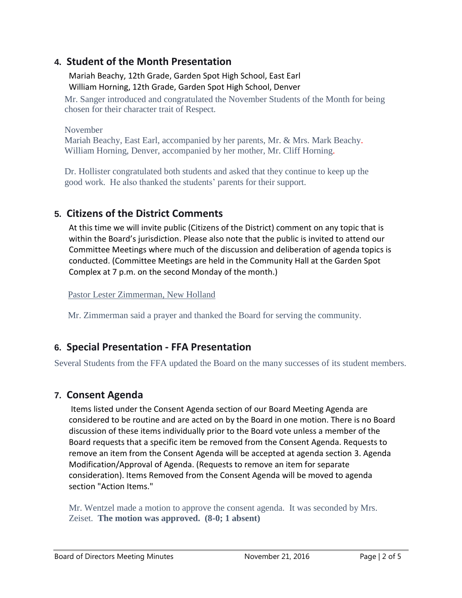# **4. Student of the Month Presentation**

Mariah Beachy, 12th Grade, Garden Spot High School, East Earl William Horning, 12th Grade, Garden Spot High School, Denver

Mr. Sanger introduced and congratulated the November Students of the Month for being chosen for their character trait of Respect.

November Mariah Beachy, East Earl, accompanied by her parents, Mr. & Mrs. Mark Beachy. William Horning, Denver, accompanied by her mother, Mr. Cliff Horning.

Dr. Hollister congratulated both students and asked that they continue to keep up the good work. He also thanked the students' parents for their support.

# **5. Citizens of the District Comments**

At this time we will invite public (Citizens of the District) comment on any topic that is within the Board's jurisdiction. Please also note that the public is invited to attend our Committee Meetings where much of the discussion and deliberation of agenda topics is conducted. (Committee Meetings are held in the Community Hall at the Garden Spot Complex at 7 p.m. on the second Monday of the month.)

Pastor Lester Zimmerman, New Holland

Mr. Zimmerman said a prayer and thanked the Board for serving the community.

# **6. Special Presentation - FFA Presentation**

Several Students from the FFA updated the Board on the many successes of its student members.

# **7. Consent Agenda**

Items listed under the Consent Agenda section of our Board Meeting Agenda are considered to be routine and are acted on by the Board in one motion. There is no Board discussion of these items individually prior to the Board vote unless a member of the Board requests that a specific item be removed from the Consent Agenda. Requests to remove an item from the Consent Agenda will be accepted at agenda section 3. Agenda Modification/Approval of Agenda. (Requests to remove an item for separate consideration). Items Removed from the Consent Agenda will be moved to agenda section "Action Items."

Mr. Wentzel made a motion to approve the consent agenda. It was seconded by Mrs. Zeiset. **The motion was approved. (8-0; 1 absent)**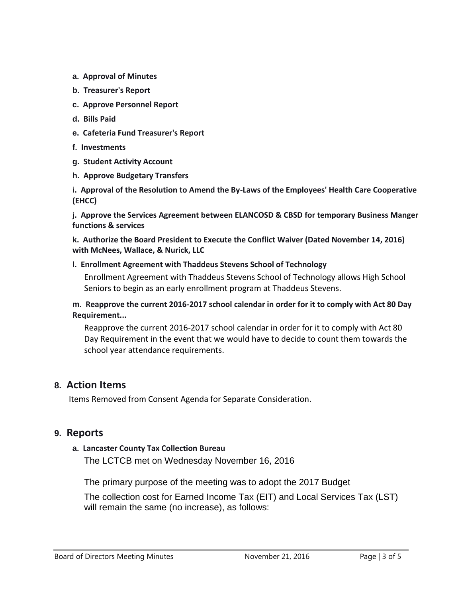- **a. Approval of Minutes**
- **b. Treasurer's Report**
- **c. Approve Personnel Report**
- **d. Bills Paid**
- **e. Cafeteria Fund Treasurer's Report**
- **f. Investments**
- **g. Student Activity Account**
- **h. Approve Budgetary Transfers**

**i. Approval of the Resolution to Amend the By-Laws of the Employees' Health Care Cooperative (EHCC)**

**j. Approve the Services Agreement between ELANCOSD & CBSD for temporary Business Manger functions & services**

**k. Authorize the Board President to Execute the Conflict Waiver (Dated November 14, 2016) with McNees, Wallace, & Nurick, LLC**

#### **l. Enrollment Agreement with Thaddeus Stevens School of Technology**

Enrollment Agreement with Thaddeus Stevens School of Technology allows High School Seniors to begin as an early enrollment program at Thaddeus Stevens.

#### **m. Reapprove the current 2016-2017 school calendar in order for it to comply with Act 80 Day Requirement...**

Reapprove the current 2016-2017 school calendar in order for it to comply with Act 80 Day Requirement in the event that we would have to decide to count them towards the school year attendance requirements.

## **8. Action Items**

Items Removed from Consent Agenda for Separate Consideration.

#### **9. Reports**

#### **a. Lancaster County Tax Collection Bureau**

The LCTCB met on Wednesday November 16, 2016

The primary purpose of the meeting was to adopt the 2017 Budget

The collection cost for Earned Income Tax (EIT) and Local Services Tax (LST) will remain the same (no increase), as follows: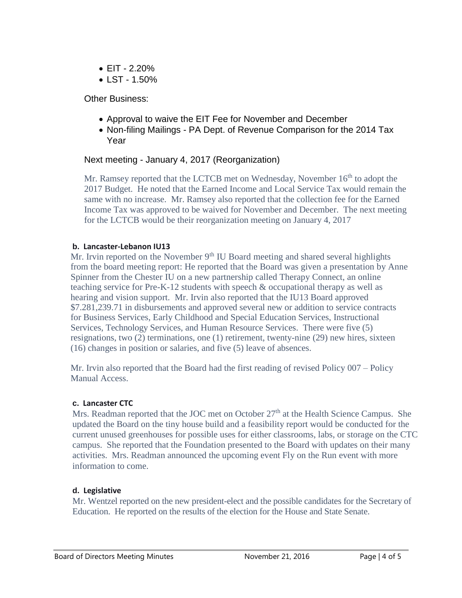- $\bullet$  FIT 2.20%
- LST 1.50%

Other Business:

- Approval to waive the EIT Fee for November and December
- Non-filing Mailings PA Dept. of Revenue Comparison for the 2014 Tax Year

# Next meeting - January 4, 2017 (Reorganization)

Mr. Ramsey reported that the LCTCB met on Wednesday, November 16<sup>th</sup> to adopt the 2017 Budget. He noted that the Earned Income and Local Service Tax would remain the same with no increase. Mr. Ramsey also reported that the collection fee for the Earned Income Tax was approved to be waived for November and December. The next meeting for the LCTCB would be their reorganization meeting on January 4, 2017

## **b. Lancaster-Lebanon IU13**

Mr. Irvin reported on the November  $9<sup>th</sup>$  IU Board meeting and shared several highlights from the board meeting report: He reported that the Board was given a presentation by Anne Spinner from the Chester IU on a new partnership called Therapy Connect, an online teaching service for Pre-K-12 students with speech & occupational therapy as well as hearing and vision support. Mr. Irvin also reported that the IU13 Board approved \$7.281,239.71 in disbursements and approved several new or addition to service contracts for Business Services, Early Childhood and Special Education Services, Instructional Services, Technology Services, and Human Resource Services. There were five (5) resignations, two (2) terminations, one (1) retirement, twenty-nine (29) new hires, sixteen (16) changes in position or salaries, and five (5) leave of absences.

Mr. Irvin also reported that the Board had the first reading of revised Policy 007 – Policy Manual Access.

## **c. Lancaster CTC**

Mrs. Readman reported that the JOC met on October  $27<sup>th</sup>$  at the Health Science Campus. She updated the Board on the tiny house build and a feasibility report would be conducted for the current unused greenhouses for possible uses for either classrooms, labs, or storage on the CTC campus. She reported that the Foundation presented to the Board with updates on their many activities. Mrs. Readman announced the upcoming event Fly on the Run event with more information to come.

## **d. Legislative**

Mr. Wentzel reported on the new president-elect and the possible candidates for the Secretary of Education. He reported on the results of the election for the House and State Senate.